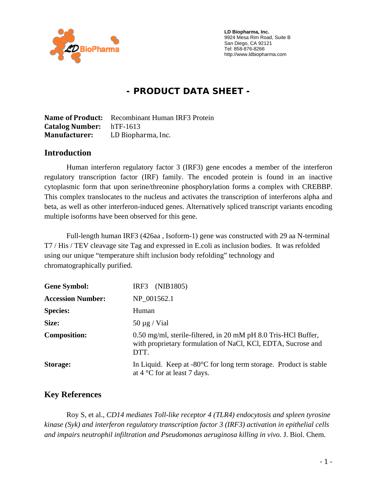

 **LD Biopharma, Inc.**  9924 Mesa Rim Road, Suite B San Diego, CA 92121 Tel: 858-876-8266 http://www.ldbiopharma.com

# **- PRODUCT DATA SHEET -**

**Name of Product:** Recombinant Human IRF3 Protein **Catalog Number:** hTF-1613 **Manufacturer:** LD Biopharma, Inc.

#### **Introduction**

Human interferon regulatory factor 3 (IRF3) gene encodes a member of the interferon regulatory transcription factor (IRF) family. The encoded protein is found in an inactive cytoplasmic form that upon serine/threonine phosphorylation forms a complex with CREBBP. This complex translocates to the nucleus and activates the transcription of interferons alpha and beta, as well as other interferon-induced genes. Alternatively spliced transcript variants encoding multiple isoforms have been observed for this gene.

Full-length human IRF3 (426aa , Isoform-1) gene was constructed with 29 aa N-terminal T7 / His / TEV cleavage site Tag and expressed in E.coli as inclusion bodies. It was refolded using our unique "temperature shift inclusion body refolding" technology and chromatographically purified.

| <b>Gene Symbol:</b>      | (NIB1805)<br>IRF3                                                                                                                      |
|--------------------------|----------------------------------------------------------------------------------------------------------------------------------------|
| <b>Accession Number:</b> | NP 001562.1                                                                                                                            |
| <b>Species:</b>          | Human                                                                                                                                  |
| Size:                    | $50 \mu g$ / Vial                                                                                                                      |
| <b>Composition:</b>      | 0.50 mg/ml, sterile-filtered, in 20 mM pH 8.0 Tris-HCl Buffer,<br>with proprietary formulation of NaCl, KCl, EDTA, Sucrose and<br>DTT. |
| <b>Storage:</b>          | In Liquid. Keep at $-80^{\circ}$ C for long term storage. Product is stable<br>at $4^{\circ}$ C for at least 7 days.                   |

#### **Key References**

Roy S, et al., *CD14 mediates Toll-like receptor 4 (TLR4) endocytosis and spleen tyrosine kinase (Syk) and interferon regulatory transcription factor 3 (IRF3) activation in epithelial cells and impairs neutrophil infiltration and Pseudomonas aeruginosa killing in vivo.* J. Biol. Chem.